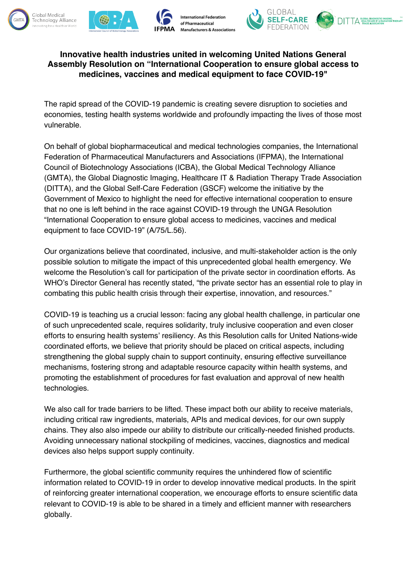





## **Innovative health industries united in welcoming United Nations General Assembly Resolution on "International Cooperation to ensure global access to medicines, vaccines and medical equipment to face COVID-19"**

The rapid spread of the COVID-19 pandemic is creating severe disruption to societies and economies, testing health systems worldwide and profoundly impacting the lives of those most vulnerable.

On behalf of global biopharmaceutical and medical technologies companies, the International Federation of Pharmaceutical Manufacturers and Associations (IFPMA), the International Council of Biotechnology Associations (ICBA), the Global Medical Technology Alliance (GMTA), the Global Diagnostic Imaging, Healthcare IT & Radiation Therapy Trade Association (DITTA), and the Global Self-Care Federation (GSCF) welcome the initiative by the Government of Mexico to highlight the need for effective international cooperation to ensure that no one is left behind in the race against COVID-19 through the UNGA Resolution "International Cooperation to ensure global access to medicines, vaccines and medical equipment to face COVID-19" (A/75/L.56).

Our organizations believe that coordinated, inclusive, and multi-stakeholder action is the only possible solution to mitigate the impact of this unprecedented global health emergency. We welcome the Resolution's call for participation of the private sector in coordination efforts. As WHO's Director General has recently stated, "the private sector has an essential role to play in combating this public health crisis through their expertise, innovation, and resources."

COVID-19 is teaching us a crucial lesson: facing any global health challenge, in particular one of such unprecedented scale, requires solidarity, truly inclusive cooperation and even closer efforts to ensuring health systems' resiliency. As this Resolution calls for United Nations-wide coordinated efforts, we believe that priority should be placed on critical aspects, including strengthening the global supply chain to support continuity, ensuring effective surveillance mechanisms, fostering strong and adaptable resource capacity within health systems, and promoting the establishment of procedures for fast evaluation and approval of new health technologies.

We also call for trade barriers to be lifted. These impact both our ability to receive materials, including critical raw ingredients, materials, APIs and medical devices, for our own supply chains. They also also impede our ability to distribute our critically-needed finished products. Avoiding unnecessary national stockpiling of medicines, vaccines, diagnostics and medical devices also helps support supply continuity.

Furthermore, the global scientific community requires the unhindered flow of scientific information related to COVID-19 in order to develop innovative medical products. In the spirit of reinforcing greater international cooperation, we encourage efforts to ensure scientific data relevant to COVID-19 is able to be shared in a timely and efficient manner with researchers globally.